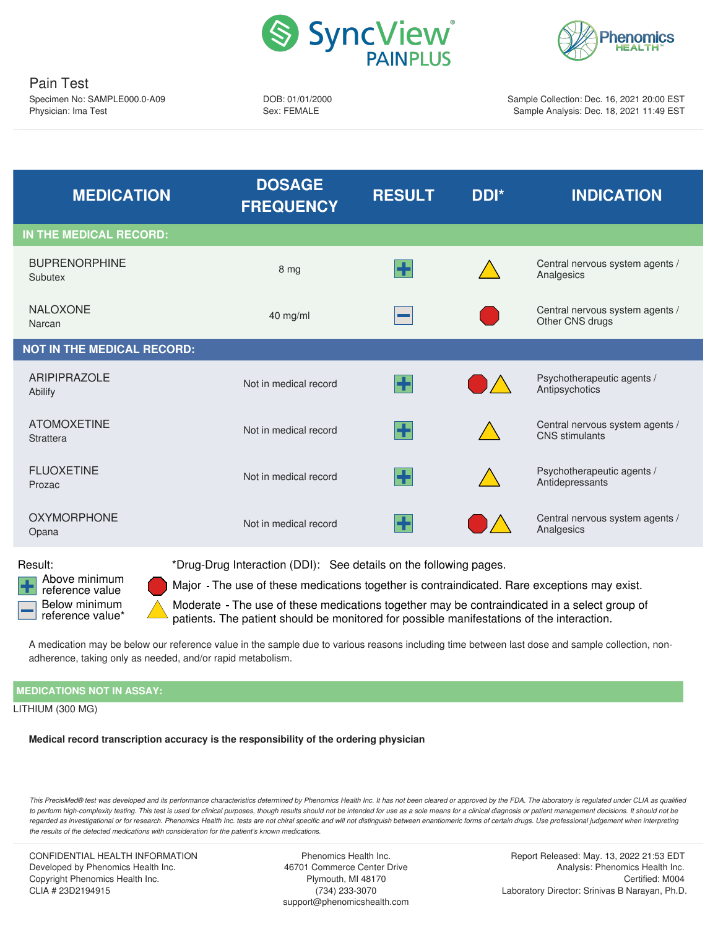



DOB: 01/01/2000 Sex: FEMALE

Sample Collection: Dec. 16, 2021 20:00 EST Sample Analysis: Dec. 18, 2021 11:49 EST

<span id="page-0-0"></span>

| <b>MEDICATION</b>                 | <b>DOSAGE</b><br><b>FREQUENCY</b> | <b>RESULT</b> | DDI*          | <b>INDICATION</b>                                        |
|-----------------------------------|-----------------------------------|---------------|---------------|----------------------------------------------------------|
| IN THE MEDICAL RECORD:            |                                   |               |               |                                                          |
| <b>BUPRENORPHINE</b><br>Subutex   | 8 mg                              | ÷             |               | Central nervous system agents /<br>Analgesics            |
| <b>NALOXONE</b><br>Narcan         | 40 mg/ml                          |               |               | Central nervous system agents /<br>Other CNS drugs       |
| <b>NOT IN THE MEDICAL RECORD:</b> |                                   |               |               |                                                          |
| <b>ARIPIPRAZOLE</b><br>Abilify    | Not in medical record             | H             |               | Psychotherapeutic agents /<br>Antipsychotics             |
| <b>ATOMOXETINE</b><br>Strattera   | Not in medical record             | ÷             |               | Central nervous system agents /<br><b>CNS</b> stimulants |
| <b>FLUOXETINE</b><br>Prozac       | Not in medical record             | ╊             |               | Psychotherapeutic agents /<br>Antidepressants            |
| <b>OXYMORPHONE</b><br>Opana       | Not in medical record             | ╊             | $\mathcal{L}$ | Central nervous system agents /<br>Analgesics            |
|                                   |                                   |               |               |                                                          |

<span id="page-0-2"></span>Above minimum reference value Below minimum reference value\*

<span id="page-0-1"></span>Result: \*Drug-Drug Interaction (DDI): See details on the following pages.

Major - The use of these medications together is contraindicated. Rare exceptions may exist.

Moderate - The use of these medications together may be contraindicated in a select group of patients. The patient should be monitored for possible manifestations of the interaction.

A medication may be below our reference value in the sample due to various reasons including time between last dose and sample collection, nonadherence, taking only as needed, and/or rapid metabolism.

# **MEDICATIONS NOT IN ASSAY:**

LITHIUM (300 MG)

**Medical record transcription accuracy is the responsibility of the ordering physician**

This PrecisMed® test was developed and its performance characteristics determined by Phenomics Health Inc. It has not been cleared or approved by the FDA. The laboratory is regulated under CLIA as qualified to perform high-complexity testing. This test is used for clinical purposes, though results should not be intended for use as a sole means for a clinical diagnosis or patient management decisions. It should not be regarded as investigational or for research. Phenomics Health Inc. tests are not chiral specific and will not distinguish between enantiomeric forms of certain drugs. Use professional judgement when interpreting *the results of the detected medications with consideration for the patient's known medications.*

CONFIDENTIAL HEALTH INFORMATION Developed by Phenomics Health Inc. Copyright Phenomics Health Inc. CLIA # 23D2194915

Phenomics Health Inc. 46701 Commerce Center Drive Plymouth, MI 48170 (734) 233-3070 support@phenomicshealth.com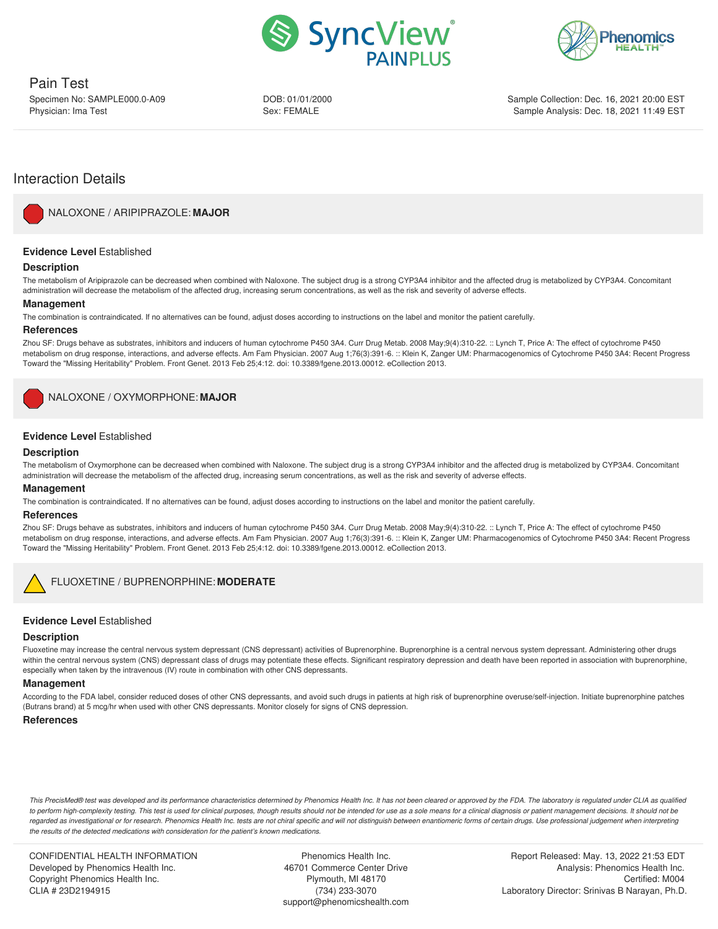



DOB: 01/01/2000 Sex: FEMALE

Sample Collection: Dec. 16, 2021 20:00 EST Sample Analysis: Dec. 18, 2021 11:49 EST

# Interaction Details

<span id="page-1-0"></span>

NALOXONE / [ARIPIPRAZOLE:](#page-0-0) **MAJOR**

# **Evidence Level** Established

#### **Description**

The metabolism of Aripiprazole can be decreased when combined with Naloxone. The subject drug is a strong CYP3A4 inhibitor and the affected drug is metabolized by CYP3A4. Concomitant administration will decrease the metabolism of the affected drug, increasing serum concentrations, as well as the risk and severity of adverse effects.

#### **Management**

The combination is contraindicated. If no alternatives can be found, adjust doses according to instructions on the label and monitor the patient carefully.

#### **References**

Zhou SF: Drugs behave as substrates, inhibitors and inducers of human cytochrome P450 3A4. Curr Drug Metab. 2008 May;9(4):310-22. :: Lynch T, Price A: The effect of cytochrome P450 metabolism on drug response, interactions, and adverse effects. Am Fam Physician. 2007 Aug 1;76(3):391-6. :: Klein K, Zanger UM: Pharmacogenomics of Cytochrome P450 3A4: Recent Progress Toward the "Missing Heritability" Problem. Front Genet. 2013 Feb 25;4:12. doi: 10.3389/fgene.2013.00012. eCollection 2013.

<span id="page-1-1"></span>NALOXONE / [OXYMORPHONE:](#page-0-1) **MAJOR**

# **Evidence Level** Established

#### **Description**

The metabolism of Oxymorphone can be decreased when combined with Naloxone. The subject drug is a strong CYP3A4 inhibitor and the affected drug is metabolized by CYP3A4. Concomitant administration will decrease the metabolism of the affected drug, increasing serum concentrations, as well as the risk and severity of adverse effects.

#### **Management**

The combination is contraindicated. If no alternatives can be found, adjust doses according to instructions on the label and monitor the patient carefully.

#### **References**

Zhou SF: Drugs behave as substrates, inhibitors and inducers of human cytochrome P450 3A4. Curr Drug Metab. 2008 May;9(4):310-22. :: Lynch T, Price A: The effect of cytochrome P450 metabolism on drug response, interactions, and adverse effects. Am Fam Physician. 2007 Aug 1;76(3):391-6. :: Klein K, Zanger UM: Pharmacogenomics of Cytochrome P450 3A4: Recent Progress Toward the "Missing Heritability" Problem. Front Genet. 2013 Feb 25;4:12. doi: 10.3389/fgene.2013.00012. eCollection 2013.

<span id="page-1-2"></span>

# FLUOXETINE / [BUPRENORPHINE:](#page-0-2) **MODERATE**

# **Evidence Level** Established

#### **Description**

Fluoxetine may increase the central nervous system depressant (CNS depressant) activities of Buprenorphine. Buprenorphine is a central nervous system depressant. Administering other drugs within the central nervous system (CNS) depressant class of drugs may potentiate these effects. Significant respiratory depression and death have been reported in association with buprenorphine, especially when taken by the intravenous (IV) route in combination with other CNS depressants.

#### **Management**

According to the FDA label, consider reduced doses of other CNS depressants, and avoid such drugs in patients at high risk of buprenorphine overuse/self-injection. Initiate buprenorphine patches (Butrans brand) at 5 mcg/hr when used with other CNS depressants. Monitor closely for signs of CNS depression.

# **References**

This PrecisMed® test was developed and its performance characteristics determined by Phenomics Health Inc. It has not been cleared or approved by the FDA. The laboratory is regulated under CLIA as qualified to perform high-complexity testing. This test is used for clinical purposes, though results should not be intended for use as a sole means for a clinical diagnosis or patient management decisions. It should not be regarded as investigational or for research. Phenomics Health Inc. tests are not chiral specific and will not distinguish between enantiomeric forms of certain drugs. Use professional judgement when interpreting *the results of the detected medications with consideration for the patient's known medications.*

CONFIDENTIAL HEALTH INFORMATION Developed by Phenomics Health Inc. Copyright Phenomics Health Inc. CLIA # 23D2194915

Phenomics Health Inc. 46701 Commerce Center Drive Plymouth, MI 48170 (734) 233-3070 support@phenomicshealth.com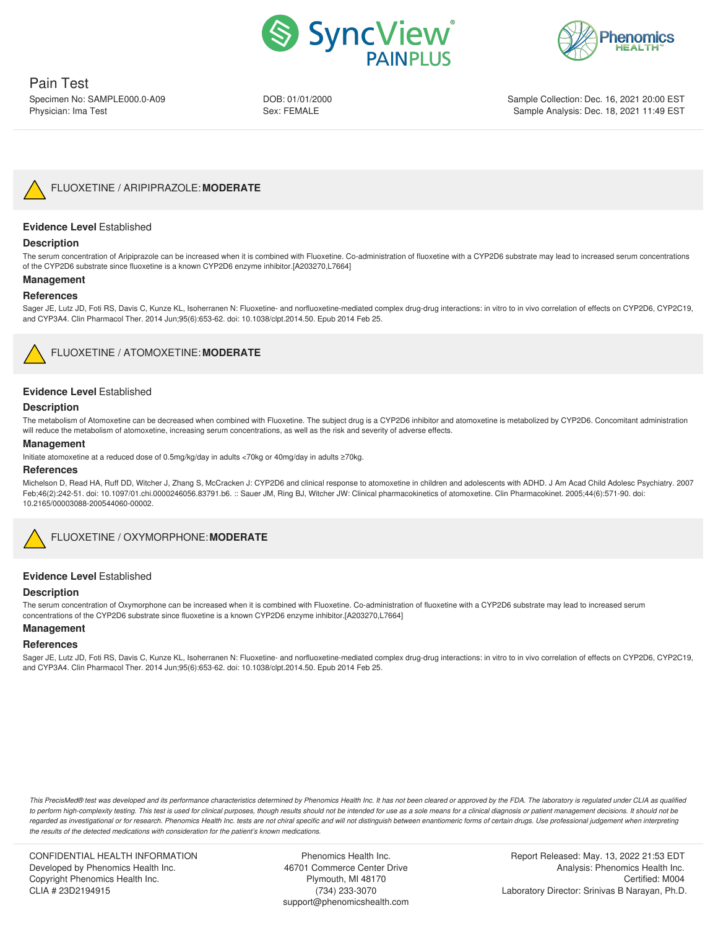



DOB: 01/01/2000 Sex: FEMALE

Sample Collection: Dec. 16, 2021 20:00 EST Sample Analysis: Dec. 18, 2021 11:49 EST



### <span id="page-2-0"></span>**Evidence Level** Established

#### **Description**

The serum concentration of Aripiprazole can be increased when it is combined with Fluoxetine. Co-administration of fluoxetine with a CYP2D6 substrate may lead to increased serum concentrations of the CYP2D6 substrate since fluoxetine is a known CYP2D6 enzyme inhibitor.[A203270,L7664]

#### **Management**

#### **References**

Sager JE, Lutz JD, Foti RS, Davis C, Kunze KL, Isoherranen N: Fluoxetine- and norfluoxetine-mediated complex drug-drug interactions: in vitro to in vivo correlation of effects on CYP2D6, CYP2C19, and CYP3A4. Clin Pharmacol Ther. 2014 Jun;95(6):653-62. doi: 10.1038/clpt.2014.50. Epub 2014 Feb 25.



# FLUOXETINE / [ATOMOXETINE:](#page-1-1) **MODERATE**

# <span id="page-2-1"></span>**Evidence Level** Established

#### **Description**

The metabolism of Atomoxetine can be decreased when combined with Fluoxetine. The subject drug is a CYP2D6 inhibitor and atomoxetine is metabolized by CYP2D6. Concomitant administration will reduce the metabolism of atomoxetine, increasing serum concentrations, as well as the risk and severity of adverse effects.

#### **Management**

Initiate atomoxetine at a reduced dose of 0.5mg/kg/day in adults <70kg or 40mg/day in adults ≥70kg.

#### **References**

Michelson D, Read HA, Ruff DD, Witcher J, Zhang S, McCracken J: CYP2D6 and clinical response to atomoxetine in children and adolescents with ADHD. J Am Acad Child Adolesc Psychiatry. 2007 Feb;46(2):242-51. doi: 10.1097/01.chi.0000246056.83791.b6. :: Sauer JM, Ring BJ, Witcher JW: Clinical pharmacokinetics of atomoxetine. Clin Pharmacokinet. 2005;44(6):571-90. doi: 10.2165/00003088-200544060-00002.

FLUOXETINE / [OXYMORPHONE:](#page-1-2)**MODERATE**

#### <span id="page-2-2"></span>**Evidence Level** Established

#### **Description**

The serum concentration of Oxymorphone can be increased when it is combined with Fluoxetine. Co-administration of fluoxetine with a CYP2D6 substrate may lead to increased serum concentrations of the CYP2D6 substrate since fluoxetine is a known CYP2D6 enzyme inhibitor.[A203270,L7664]

#### **Management**

#### **References**

Sager JE, Lutz JD, Foti RS, Davis C, Kunze KL, Isoherranen N: Fluoxetine- and norfluoxetine-mediated complex drug-drug interactions: in vitro to in vivo correlation of effects on CYP2D6, CYP2C19, and CYP3A4. Clin Pharmacol Ther. 2014 Jun;95(6):653-62. doi: 10.1038/clpt.2014.50. Epub 2014 Feb 25.

This PrecisMed® test was developed and its performance characteristics determined by Phenomics Health Inc. It has not been cleared or approved by the FDA. The laboratory is regulated under CLIA as qualified to perform high-complexity testing. This test is used for clinical purposes, though results should not be intended for use as a sole means for a clinical diagnosis or patient management decisions. It should not be regarded as investigational or for research. Phenomics Health Inc. tests are not chiral specific and will not distinguish between enantiomeric forms of certain drugs. Use professional judgement when interpreting *the results of the detected medications with consideration for the patient's known medications.*

CONFIDENTIAL HEALTH INFORMATION Developed by Phenomics Health Inc. Copyright Phenomics Health Inc. CLIA # 23D2194915

Phenomics Health Inc. 46701 Commerce Center Drive Plymouth, MI 48170 (734) 233-3070 support@phenomicshealth.com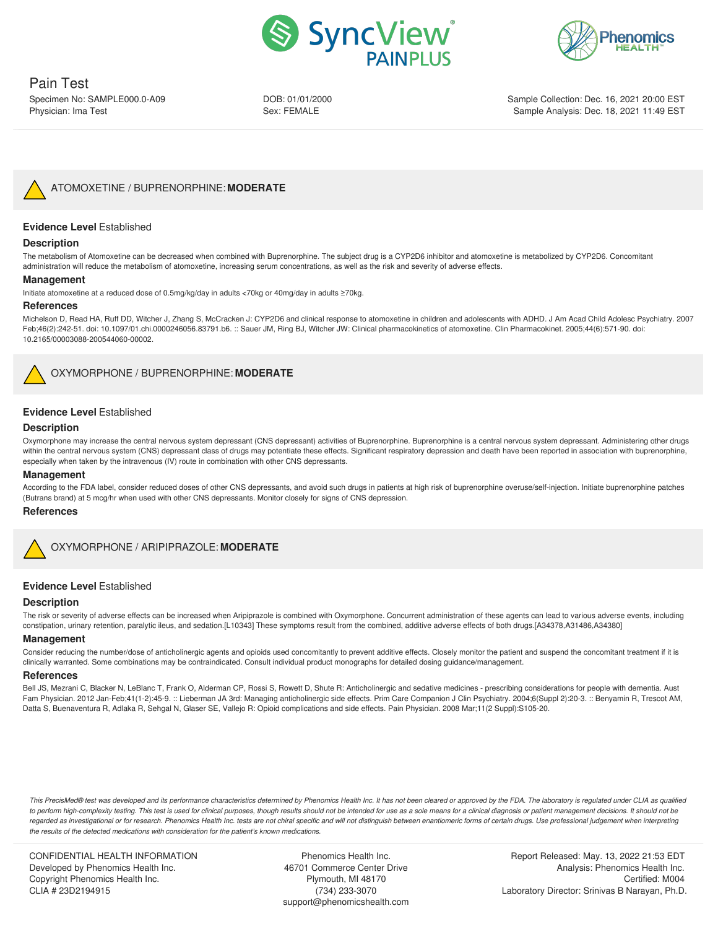



# Pain Test

Specimen No: SAMPLE000.0-A09 Physician: Ima Test

DOB: 01/01/2000 Sex: FEMALE

Sample Collection: Dec. 16, 2021 20:00 EST Sample Analysis: Dec. 18, 2021 11:49 EST



# <span id="page-3-0"></span>**Evidence Level** Established

# **Description**

The metabolism of Atomoxetine can be decreased when combined with Buprenorphine. The subject drug is a CYP2D6 inhibitor and atomoxetine is metabolized by CYP2D6. Concomitant administration will reduce the metabolism of atomoxetine, increasing serum concentrations, as well as the risk and severity of adverse effects.

#### **Management**

Initiate atomoxetine at a reduced dose of 0.5mg/kg/day in adults <70kg or 40mg/day in adults ≥70kg.

#### **References**

Michelson D, Read HA, Ruff DD, Witcher J, Zhang S, McCracken J: CYP2D6 and clinical response to atomoxetine in children and adolescents with ADHD. J Am Acad Child Adolesc Psychiatry. 2007 Feb;46(2):242-51. doi: 10.1097/01.chi.0000246056.83791.b6. :: Sauer JM, Ring BJ, Witcher JW: Clinical pharmacokinetics of atomoxetine. Clin Pharmacokinet. 2005;44(6):571-90. doi: 10.2165/00003088-200544060-00002.



OXYMORPHONE / [BUPRENORPHINE:](#page-2-1) **MODERATE**

### **Evidence Level** Established

#### **Description**

Oxymorphone may increase the central nervous system depressant (CNS depressant) activities of Buprenorphine. Buprenorphine is a central nervous system depressant. Administering other drugs within the central nervous system (CNS) depressant class of drugs may potentiate these effects. Significant respiratory depression and death have been reported in association with buprenorphine, especially when taken by the intravenous (IV) route in combination with other CNS depressants.

#### **Management**

According to the FDA label, consider reduced doses of other CNS depressants, and avoid such drugs in patients at high risk of buprenorphine overuse/self-injection. Initiate buprenorphine patches (Butrans brand) at 5 mcg/hr when used with other CNS depressants. Monitor closely for signs of CNS depression.

#### **References**



#### **Evidence Level** Established

#### **Description**

The risk or severity of adverse effects can be increased when Aripiprazole is combined with Oxymorphone. Concurrent administration of these agents can lead to various adverse events, including constipation, urinary retention, paralytic ileus, and sedation.[L10343] These symptoms result from the combined, additive adverse effects of both drugs.[A34378,A31486,A34380]

#### **Management**

Consider reducing the number/dose of anticholinergic agents and opioids used concomitantly to prevent additive effects. Closely monitor the patient and suspend the concomitant treatment if it is clinically warranted. Some combinations may be contraindicated. Consult individual product monographs for detailed dosing guidance/management.

#### **References**

Bell JS, Mezrani C, Blacker N, LeBlanc T, Frank O, Alderman CP, Rossi S, Rowett D, Shute R: Anticholinergic and sedative medicines - prescribing considerations for people with dementia. Aust Fam Physician. 2012 Jan-Feb;41(1-2):45-9. :: Lieberman JA 3rd: Managing anticholinergic side effects. Prim Care Companion J Clin Psychiatry. 2004;6(Suppl 2):20-3. :: Benyamin R, Trescot AM, Datta S, Buenaventura R, Adlaka R, Sehgal N, Glaser SE, Vallejo R: Opioid complications and side effects. Pain Physician. 2008 Mar;11(2 Suppl):S105-20.

This PrecisMed® test was developed and its performance characteristics determined by Phenomics Health Inc. It has not been cleared or approved by the FDA. The laboratory is regulated under CLIA as qualified to perform high-complexity testing. This test is used for clinical purposes, though results should not be intended for use as a sole means for a clinical diagnosis or patient management decisions. It should not be regarded as investigational or for research. Phenomics Health Inc. tests are not chiral specific and will not distinguish between enantiomeric forms of certain drugs. Use professional judgement when interpreting *the results of the detected medications with consideration for the patient's known medications.*

CONFIDENTIAL HEALTH INFORMATION Developed by Phenomics Health Inc. Copyright Phenomics Health Inc. CLIA # 23D2194915

Phenomics Health Inc. 46701 Commerce Center Drive Plymouth, MI 48170 (734) 233-3070 support@phenomicshealth.com